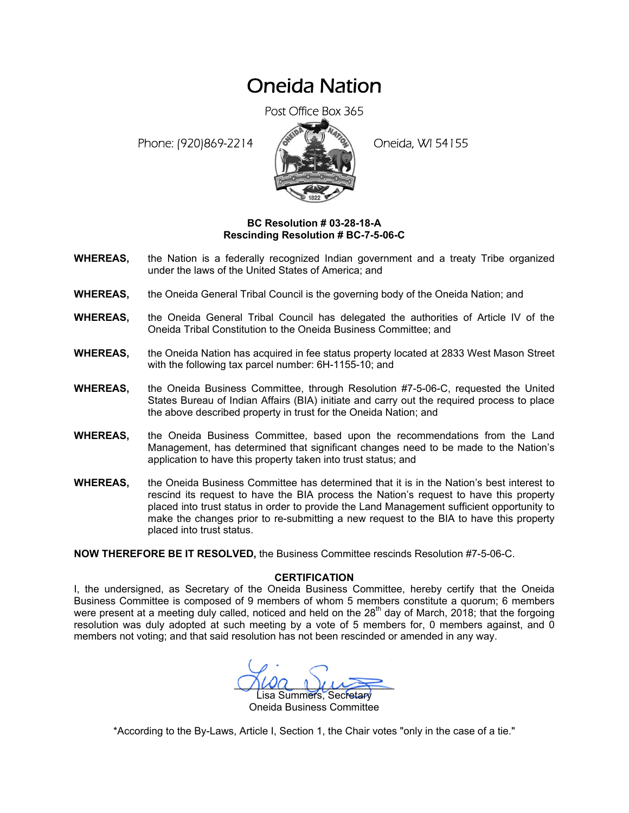## Oneida Nation

Post Office Box 365

Phone: (920)869-2214 (8 22 3) Oneida, WI 54155



## **BC Resolution # 03-28-18-A Rescinding Resolution # BC-7-5-06-C**

- **WHEREAS,** the Nation is a federally recognized Indian government and a treaty Tribe organized under the laws of the United States of America; and
- **WHEREAS,** the Oneida General Tribal Council is the governing body of the Oneida Nation; and
- **WHEREAS,** the Oneida General Tribal Council has delegated the authorities of Article IV of the Oneida Tribal Constitution to the Oneida Business Committee; and
- **WHEREAS,** the Oneida Nation has acquired in fee status property located at 2833 West Mason Street with the following tax parcel number: 6H-1155-10; and
- **WHEREAS,** the Oneida Business Committee, through Resolution #7-5-06-C, requested the United States Bureau of Indian Affairs (BIA) initiate and carry out the required process to place the above described property in trust for the Oneida Nation; and
- **WHEREAS,** the Oneida Business Committee, based upon the recommendations from the Land Management, has determined that significant changes need to be made to the Nation's application to have this property taken into trust status; and
- **WHEREAS,** the Oneida Business Committee has determined that it is in the Nation's best interest to rescind its request to have the BIA process the Nation's request to have this property placed into trust status in order to provide the Land Management sufficient opportunity to make the changes prior to re-submitting a new request to the BIA to have this property placed into trust status.

**NOW THEREFORE BE IT RESOLVED,** the Business Committee rescinds Resolution #7-5-06-C.

## **CERTIFICATION**

I, the undersigned, as Secretary of the Oneida Business Committee, hereby certify that the Oneida Business Committee is composed of 9 members of whom 5 members constitute a quorum; 6 members were present at a meeting duly called, noticed and held on the 28<sup>th</sup> day of March, 2018; that the forgoing resolution was duly adopted at such meeting by a vote of 5 members for, 0 members against, and 0 members not voting; and that said resolution has not been rescinded or amended in any way.

 $\Omega_{\text{A}}$ Lisa Summers, Secretary

Oneida Business Committee

\*According to the By-Laws, Article I, Section 1, the Chair votes "only in the case of a tie."